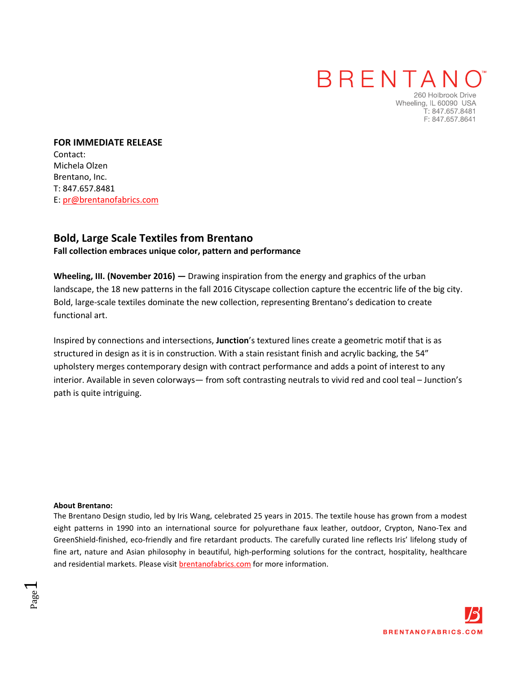### **BRENTAN**

260 Holbrook Drive Wheeling, IL 60090 USA T: 847.657.8481 F: 847.657.8641

**FOR IMMEDIATE RELEASE**  Contact: Michela Olzen Brentano, Inc. T: 847.657.8481 E: pr@brentanofabrics.com

### **Bold, Large Scale Textiles from [Brentano](http://www.brentanofabrics.com/default.aspx)**

#### **Fall collection embraces unique color, pattern and performance**

**Wheeling, III. (November 2016) —** Drawing inspiration from the energy and graphics of the urban landscape, the 18 new patterns in the [fall 2016 Cityscape collection](http://www.brentanofabrics.com/fabrics/) capture the eccentric life of the big city. Bold, large-scale textiles dominate the new collection, representing Brentano's dedication to create functional art.

Inspired by connections and intersections, **[Junction](http://www.brentanofabrics.com/fabrics/details.aspx?fabID=6531-01)**'s textured lines create a geometric motif that is as structured in design as it is in construction. With a stain resistant finish and acrylic backing, the 54" upholstery merges contemporary design with contract performance and adds a point of interest to any interior. Available in seven colorways— from soft contrasting neutrals to vivid red and cool teal [– Junction's](http://www.brentanofabrics.com/fabrics/details.aspx?fabID=6531-01)  path is quite intriguing.

#### **About Brentano:**

Page  $\overline{\phantom{0}}$ 

The Brentano Design studio, led by [Iris Wang,](http://www.brentanofabrics.com/about/designer.aspx) celebrated 25 years in 2015. The textile house has grown from a modest eight patterns in 1990 into an international source for polyurethan[e faux leather,](http://www.brentanofabrics.com/green/default.aspx?type=Faux%20Leather#eco) [outdoor,](www.brentanofabrics.com/outdoor/default.aspx) [Crypton,](http://www.brentanofabrics.com/crypton/default.aspx?type=Crypton) [Nano-Tex](http://www.brentanofabrics.com/crypton/default.aspx?type=Nano-Tex) and [GreenShield-finished,](http://www.brentanofabrics.com/crypton/default.aspx?type=GreenShield) [eco-friendly](http://www.brentanofabrics.com/green/default.aspx) and fire retardant products. The carefully curated line reflects Iris' lifelong study of fine art, nature and Asian philosophy in beautiful, high-performing solutions for the contract, hospitality, healthcare and residential markets. Please visi[t brentanofabrics.com f](http://www.brentanofabrics.com/default.aspx)or more information.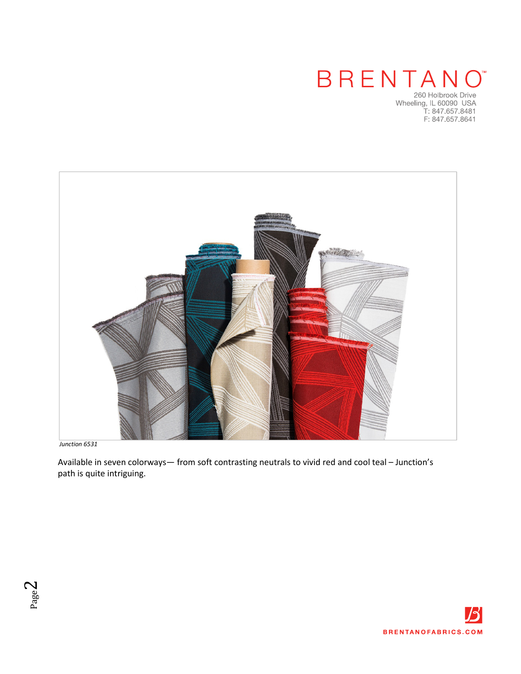# BRENTANO

260 Holbrook Drive<br>260 Holbrook Drive<br>Wheeling, IL 60090 USA<br>T: 847.657.8641<br>F: 847.657.8641



*[Junction 6531](http://www.brentanofabrics.com/fabrics/details.aspx?fabID=6531-01)* 

 Available in seven colorways— from soft contrasting neutrals to vivid red and cool teal [– Junction's](http://www.brentanofabrics.com/fabrics/details.aspx?fabID=6531-01)  path is quite intriguing.